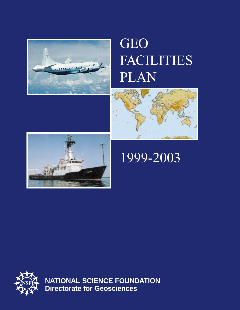

# GEO FACILITIES PLAN





# 1999-2003



**NATIONAL SCIENCE FOUNDATION Directorate for Geosciences**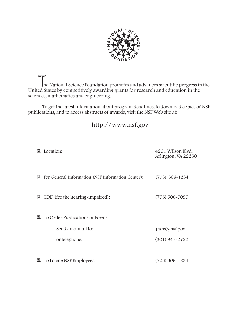

The National Science Foundation promotes and advances scientific progress in the United States by competitively awarding grants for research and education in the sciences, mathematics and engineering.

To get the latest information about program deadlines, to download copies of NSF publications, and to access abstracts of awards, visit the NSF Web site at:

http://www.nsf.gov

| ।च | Location:                                             | 4201 Wilson Blyd.<br>Arlington, VA 22230 |
|----|-------------------------------------------------------|------------------------------------------|
| 回  | For General Information (NSF Information Center):     | $(703)$ 306-1234                         |
| 囸  | TDD (for the hearing-impaired):                       | (703) 306-0090                           |
| 回  | To Order Publications or Forms:<br>Send an e-mail to: | pubs@nsf.gov                             |
|    | or telephone:                                         | $(301)$ 947-2722                         |
| 回  | To Locate NSF Employees:                              | $(703)$ 306 - 1234                       |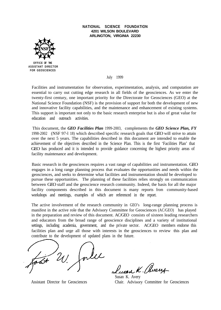#### **NATIONAL SCIENCE FOUNDATION 4201 WILSON BOULEVARD ARLINGTON, VIRGINIA 22230**



**ASSISTANT DIRECTOR FOR GEOSCIENCES**

July 1999

Facilities and instrumentation for observation, experimentation, analysis, and computation are essential to carry out cutting edge research in all fields of the geosciences. As we enter the twenty-first century, one important priority for the Directorate for Geosciences (GEO) at the National Science Foundation (NSF) is the provision of support for both the development of new and innovative facility capabilities, and the maintenance and enhancement of existing systems. This support is important not only to the basic research enterprise but is also of great value for education and outreach activities.

This document, the *GEO Facilities Plan* 1999-2003, complements the *GEO Science Plan, FY* 1998-2002 (NSF 97-l 18) which described specific research goals that GEO will strive to attain over the next 5 years. The capabilities described in this document are intended to enable the achievement of the objectives described in the Science Plan. This is the first 'Facilities Plan' that GEO has produced and it is intended to provide guidance concerning the highest priority areas of facility maintenance and development.

Basic research in the geosciences requires a vast range of capabilities and instrumentation. GEO engages in a long range planning process that evaluates the opportunities and needs within the geosciences, and seeks to determine what facilities and instrumentation should be developed to pursue these opportunities. The planning of these facilities relies strongly on communication between GEO staff and the geoscience research community. Indeed, the basis for all the major facility components described in this document is many reports from community-based workshops and meetings, examples of which are referenced in the report.

The active involvement of the research community in GEO's long-range planning process is manifest in the active role that the Advisory Committee for Geosciences (AC/GEO) has played in the preparation and review of this document. AC/GEO consists of sixteen leading researchers and educators from the broad range of geoscience disciplines and a variety of institutional settings, including academia, government, and the private sector. AC/GEO members endorse this facilities plan and urge all those with interests in the geosciences to review this plan and contribute to the development of updated plans in the future.

e K. (Avere

Susan K. Avery Assistant Director for Geosciences Chair. Advisory Committee for Geosciences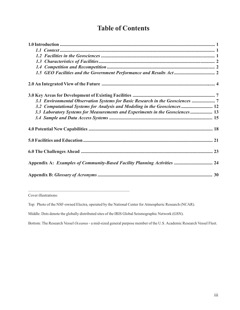## Table of Contents

| 3.1 Environmental Observation Systems for Basic Research in the Geosciences 7  |  |  |
|--------------------------------------------------------------------------------|--|--|
| 3.2 Computational Systems for Analysis and Modeling in the Geosciences 12      |  |  |
| 3.3 Laboratory Systems for Measurements and Experiments in the Geosciences  13 |  |  |
|                                                                                |  |  |
|                                                                                |  |  |
|                                                                                |  |  |
|                                                                                |  |  |
| Appendix A: Examples of Community-Based Facility Planning Activities  24       |  |  |
|                                                                                |  |  |

<u> 1989 - Johann John Stein, mars an deus Amerikaansk kommunister (</u> Cover illustrations:

Top: Photo of the NSF-owned Electra, operated by the National Center for Atmospheric Research (NCAR).

Middle: Dots denote the globally distributed sites of the IRIS Global Seismographic Network (GSN).

Bottom: The Research Vessel Oceanus - a mid-sized general purpose member of the U.S. Academic Research Vessel Fleet.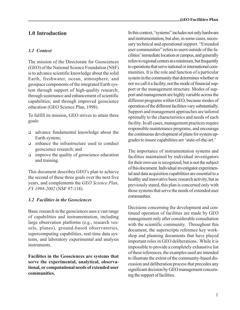## 1.0 Introduction

#### 1.1 Context

The mission of the Directorate for Geosciences (GEO) of the National Science Foundation (NSF) is to advance scientific knowledge about the solid Earth, freshwater, ocean, atmosphere, and geospace components of the integrated Earth system through support of high-quality research; through sustenance and enhancement of scientific capabilities; and through improved geoscience education (GEO Science Plan, 1998).

To fulfill its mission, GEO strives to attain three goals:

- <sup>q</sup> advance fundamental knowledge about the Earth system;
- $\Box$  enhance the infrastructure used to conduct geoscience research; and
- $\Box$  improve the quality of geoscience education and training.

This document describes GEO's plan to achieve the second of these three goals over the next five years, and complements the GEO Science Plan, FY 1998-2002 (NSF 97-118).

#### 1.2 Facilities in the Geosciences

Basic research in the geosciences uses a vast range of capabilities and instrumentation, including large observation platforms (e.g., research vessels, planes), ground-based observatories, supercomputing capabilities, real-time data systems, and laboratory experimental and analysis instruments.

Facilities in the Geosciences are systems that serve the experimental, analytical, observational, or computational needs of extended user communities.

In this context, "systems" includes not only hardware and instrumentation, but also, in some cases, necessary technical and operational support. "Extended" user communities" refers to users outside of the facilities' immediate location or campus, and generally refers to regional centers at a minimum, but frequently to operations that serve national or international communities. It is the role and function of a particular system in the community that determines whether or not we call it a facility, not the mode of financial support or the management structure. Modes of support and management are highly variable across the different programs within GEO, because modes of operation of the different facilities vary substantially. Support and management approaches are tailored optimally to the characteristics and needs of each facility. In all cases, management practices require responsible maintenance programs, and encourage the continuous development of plans for system upgrades to insure capabilities are 'state-of-the-art.'

The importance of instrumentation systems and facilities maintained by individual investigators for their own use is recognized, but is not the subject of this document. Individual investigator experimental and data acquisition capabilities are essential to a healthy and innovative basic research activity, but as previously stated, this plan is concerned only with those systems that serve the needs of extended user communities.

Decisions concerning the development and continued operation of facilities are made by GEO management only after considerable consultation with the scientific community. Throughout this document, the superscripts reference key workshop and planning documents that have played important roles in GEO deliberations. While it is impossible to provide a completely exhaustive list of these references, the examples used are intended to illustrate the extent of the community-based discussion and deliberation process that precedes any significant decision by GEO management concerning the support of facilities.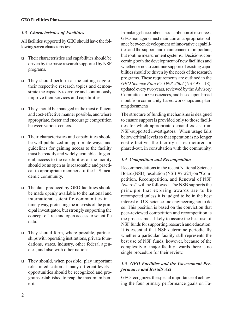#### 1.3 Characteristics of Facilities

All facilities supported by GEO should have the following seven characteristics:

- $\Box$  Their characteristics and capabilities should be driven by the basic research supported by NSF programs.
- □ They should perform at the cutting edge of their respective research topics and demonstrate the capacity to evolve and continuously improve their services and capabilities.
- $\Box$  They should be managed in the most efficient and cost-effective manner possible, and where appropriate, foster and encourage competition between various centers.
- $\Box$  Their characteristics and capabilities should be well publicized in appropriate ways, and guidelines for gaining access to the facility must be readily and widely available. In general, access to the capabilities of the facility should be as open as is reasonable and practical to appropriate members of the U.S. academic community.
- $\Box$  The data produced by GEO facilities should be made openly available to the national and international scientific communities in a timely way, protecting the interests of the principal investigator, but strongly supporting the concept of free and open access to scientific data.
- □ They should form, where possible, partnerships with operating institutions, private foundations, states, industry, other federal agencies, and also with other nations.
- <sup>q</sup> They should, when possible, play important roles in education at many different levels opportunities should be recognized and programs established to reap the maximum benefit.

In making choices about the distribution of resources, GEO managers must maintain an appropriate balance between development of innovative capabilities and the support and maintenance of important, but routine measurement systems. Decisions concerning both the development of new facilities and whether or not to continue support of existing capabilities should be driven by the needs of the research programs. These requirements are outlined in the GEO Science Plan FY 1998-2002 (NSF 97-118), updated every two years, reviewed by the Advisory Committee for Geosciences, and based upon broad input from community-based workshops and planning documents.

The structure of funding mechanisms is designed to ensure support is provided only to those facilities for which appropriate demand exists from NSF-supported investigators. When usage falls below critical levels so that operation is no longer cost-effective, the facility is restructured or phased-out, in consultation with the community.

### 1.4 Competition and Recompetition

Recommendations in the recent National Science Board (NSB) resolution (NSB-97-224) on "Competition, Recompetition, and Renewal of NSF Awards" will be followed. The NSB supports the principle that expiring awards are to be recompeted unless it is judged to be in the best interest of U.S. science and engineering not to do so. This position is based on the conviction that peer-reviewed competition and recompetition is the process most likely to assure the best use of NSF funds for supporting research and education. It is essential that NSF determine periodically whether a particular facility still represents the best use of NSF funds, however, because of the complexity of major facility awards there is no single procedure for their review.

#### 1.5 GEO Facilities and the Government Performance and Results Act

GEO recognizes the special importance of achieving the four primary performance goals on Fa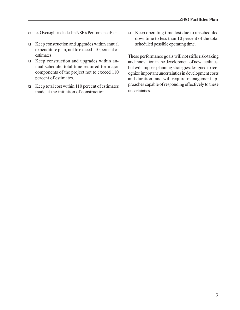cilities Oversight included in NSF's Performance Plan:

- $\Box$  Keep construction and upgrades within annual expenditure plan, not to exceed 110 percent of estimates.
- **Q** Keep construction and upgrades within annual schedule, total time required for major components of the project not to exceed 110 percent of estimates.
- $\Box$  Keep total cost within 110 percent of estimates made at the initiation of construction.

 $\Box$  Keep operating time lost due to unscheduled downtime to less than 10 percent of the total scheduled possible operating time.

These performance goals will not stifle risk-taking and innovation in the development of new facilities, but will impose planning strategies designed to recognize important uncertainties in development costs and duration, and will require management approaches capable of responding effectively to these uncertainties.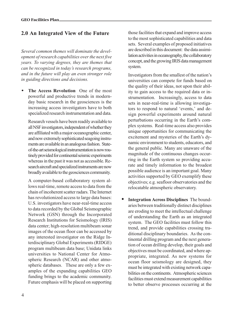## 2.0 An Integrated View of the Future

Several common themes will dominate the development of research capabilities over the next five years. To varying degrees, they are themes that can be recognized in today's research programs, and in the future will play an even stronger role in guiding directions and decisions.

The Access Revolution One of the most powerful and productive trends in modernday basic research in the geosciences is the increasing access investigators have to both specialized research instrumentation and data.

Research vessels have been readily available to all NSF investigators, independent of whether they are affiliated with a major oceanographic center, and now extremely sophisticated seagoing instruments are available in an analogous fashion. Stateof-the-art seismological instrumentation is now routinely provided for continental seismic experiments whereas in the past it was not as accessible. Research aircraft and specialized instruments are now broadly available to the geosciences community.

A computer-based collaboratory system allows real-time, remote access to data from the chain of incoherent scatter radars. The Internet has revolutionized access to large data bases: U.S. investigators have near-real-time access to data recorded by the Global Seismographic Network (GSN) through the Incorporated Research Institutions for Seismology (IRIS) data center; high-resolution multibeam sonar images of the ocean floor can be accessed by any interested investigator on the Ridge Interdisciplinary Global Experiments (RIDGE) program multibeam data base; Unidata links universities to National Center for Atmospheric Research (NCAR) and other atmospheric databases. These are only a few examples of the expanding capabilities GEO funding brings to the academic community. Future emphasis will be placed on supporting those facilities that expand and improve access to the most sophisticated capabilities and data sets. Several examples of proposed initiatives are described in this document: the data assimilation activities in oceanography, the collaboratory concept, and the growing IRIS data management system.

Investigators from the smallest of the nation's universities can compete for funds based on the quality of their ideas, not upon their ability to gain access to the required data or instrumentation. Increasingly, access to data sets in near-real-time is allowing investigators to respond to natural 'events,' and design powerful experiments around natural perturbations occurring in the Earth's complex systems. Real-time access also provides unique opportunities for communicating the excitement and mysteries of the Earth's dynamic environment to students, educators, and the general public. Many are unaware of the magnitude of the continuous changes occurring in the Earth system so providing accurate and timely information to the broadest possible audience is an important goal. Many activities supported by GEO exemplify these objectives; e.g. seafloor observatories and the relocatable atmospheric observatory.

• Integration Across Disciplines The boundaries between traditionally distinct disciplines are eroding to meet the intellectual challenge of understanding the Earth as an integrated system. The GEO facilities must follow this trend, and provide capabilities crossing traditional disciplinary boundaries. As the continental drilling program and the next generation of ocean drilling develop, their goals and objectives must be coordinated, and where appropriate, integrated. As new systems for ocean floor seismology are designed, they must be integrated with existing network capabilities on the continents. Atmospheric sciences facilities must extend measurement capabilities to better observe processes occurring at the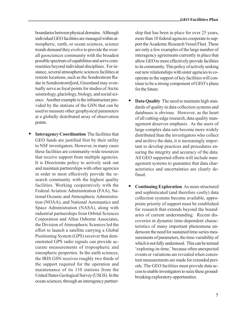boundaries between physical domains. Although individual GEO facilities are managed within atmospheric, earth, or ocean sciences, science trends demand they evolve to provide the overall geosciences community with the broadest possible spectrum of capabilities and serve communities beyond individual disciplines. For instance, several atmospheric sciences facilities at remote locations, such as the Sondrestrom Radar in Sondrestromfjord, Greenland may eventually serve as focal points for studies of Arctic seismology, glaciology, biology, and social science. Another example is the infrastructure provided by the stations of the GSN that can be used to measure other geophysical parameters at a globally distributed array of observation points.

**Interagency Coordination** The facilities that GEO funds are justified first by their utility to NSF investigators. However, in many cases these facilities are community-wide resources that receive support from multiple agencies. It is Directorate policy to actively seek out and maintain partnerships with other agencies in order to most effectively provide the research community with the highest quality facilities. Working cooperatively with the Federal Aviation Administration (FAA), National Oceanic and Atmospheric Administration (NOAA), and National Aeronautics and Space Administration (NASA), along with industrial partnerships from Orbital Sciences Corporation and Allen Osborne Associates, the Division of Atmospheric Sciences led the effort to launch a satellite carrying a Global Positioning System (GPS) receiver that demonstrated GPS radio signals can provide accurate measurements of tropospheric and ionospheric properties. In the earth sciences, the IRIS GSN receives roughly two thirds of the support required for the operation and maintenance of its 110 stations from the United States Geological Survey (USGS). In the ocean sciences, through an interagency partner-

ship that has been in place for over 25 years, more than 10 federal agencies cooperate to support the Academic Research Vessel Fleet. These are only a few examples of the large number of interagency agreements currently in place that allow GEO to more effectively provide facilities to its community. This policy of actively seeking out new relationships with sister agencies to cooperate in the support of key facilities will continue to be a strong component of GEO's plans for the future.

- Data Quality The need to maintain high standards of quality in data collection systems and databases is obvious. However, as the heart of all cutting-edge research, data quality management deserves emphasis. As the users of large complex data sets become more widely distributed than the investigators who collect and archive the data, it is increasingly important to develop practices and procedures ensuring the integrity and accuracy of the data. All GEO supported efforts will include management systems to guarantee that data characteristics and uncertainties are clearly defined.
- Continuing Exploration As more structured and sophisticated (and therefore costly) data collection systems become available, appropriate priority of support must be established for research that extends beyond the boundaries of current understanding. Recent discoveries in dynamic time-dependent characteristics of many important phenomena underscore the need for sustained time-series measurements of parameters, the time-variability of which is not fully understood. This can be termed 'exploring-in-time,' because often unexpected events or variations are revealed when consistent measurements are made for extended periods. The GEO facilities must provide data access to enable investigators to seize these groundbreaking exploratory opportunities.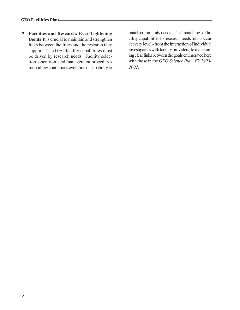• Facilities and Research: Ever-Tightening Bonds It is crucial to maintain and strengthen links between facilities and the research they support. The GEO facility capabilities must be driven by research needs. Facility selection, operation, and management procedures must allow continuous evolution of capability to

match community needs. This 'matching' of facility capabilities to research needs must occur at every level - from the interaction of individual investigators with facility providers, to maintaining clear links between the goals enumerated here with those in the GEO Science Plan, FY 1998-2002.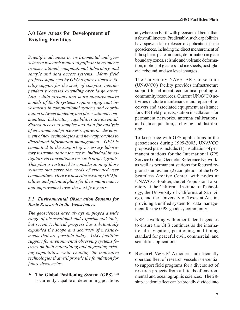## 3.0 Key Areas for Development of Existing Facilities

Scientific advances in environmental and geosciences research require significant investments in observational, computational, laboratory, and sample and data access systems. Many field projects supported by GEO require extensive facility support for the study of complex, interdependent processes extending over large areas. Large data streams and more comprehensive models of Earth systems require significant investments in computational systems and coordination between modeling and observational communities. Laboratory capabilities are essential. Shared access to samples and data for analysis of environmental processes requires the development of new technologies and new approaches to distributed information management. GEO is committed to the support of necessary laboratory instrumentation for use by individual investigators via conventional research project grants. This plan is restricted to consideration of those systems that serve the needs of extended user communities. Here we describe existing GEO facilities and potential plans for their maintenance and improvement over the next five years.

### 3.1 Environmental Observation Systems for Basic Research in the Geosciences

The geosciences have always employed a wide range of observational and experimental tools, but recent technical progress has substantially expanded the scope and accuracy of measurements that are possible today. GEO facilities support for environmental observing systems focuses on both maintaining and upgrading existing capabilities, while enabling the innovative technologies that will provide the foundation for future discoveries.

The Global Positioning System (GPS)<sup>18,28</sup> is currently capable of determining positions

anywhere on Earth with precision of better than a few millimeters. Predictably, such capabilities have spawned an explosion of applications in the geosciences, including the direct measurement of lithospheric plate motions, deformation in plate boundary zones, seismic and volcanic deformation, motion of glaciers and ice sheets, post-glacial rebound, and sea level changes.

The University NAVSTAR Consortium (UNAVCO) facility provides infrastructure support for efficient, economical pooling of community resources. Current UNAVCO activities include maintenance and repair of receivers and associated equipment, assistance for GPS field projects, station installations for permanent networks, antenna calibrations, and data acquisition, archiving and distribution.

To keep pace with GPS applications in the geosciences during 1999-2003, UNAVCO proposed plans include: (1) installation of permanent stations for the International GPS Service Global Geodetic Reference Network, as well as permanent stations for focused regional studies, and (2) completion of the GPS Seamless Archive Center, with nodes at UNAVCO-Boulder, the Jet Propulsion Laboratory at the California Institute of Technology, the University of California at San Diego, and the University of Texas at Austin, providing a unified system for data management for the GPS-geodesy community.

NSF is working with other federal agencies to ensure the GPS continues as the international navigation, positioning, and timing standard for peaceful civil, commercial, and scientific applications.

• Research Vessels $8$  A modern and efficiently operated fleet of research vessels is essential to support field programs for a diverse set of research projects from all fields of environmental and oceanographic sciences. The 28 ship academic fleet can be broadly divided into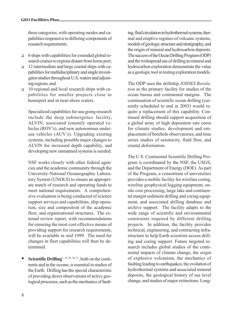three categories, with operating modes and capabilities responsive to differing components of research requirements:

- $\Box$  6 ships with capabilities for extended global research cruises to regions distant from home port;
- $\Box$  12 intermediate and large coastal ships with capabilities for multidisciplinary and single investigator studies throughout U.S. waters and adjoining regions; and
- $\Box$  10 regional and local research ships with capabilities for smaller projects close to homeport and in near-shore waters.

Specialized capabilities for sea-going research include the deep submergence facility, ALVIN, associated remotely operated vehicles (ROV's), and new autonomous undersea vehicles (AUV's). Upgrading existing systems, including possible major changes to ALVIN for increased depth capability, and developing new unmanned systems is needed.

NSF works closely with other federal agencies and the academic community through the University-National Oceanographic Laboratory System (UNOLS) to ensure an appropriate match of research and operating funds to meet national requirements. A comprehensive evaluation is being conducted of science support services and capabilities, ship operation, size and composition of the academic fleet, and organizational structures. The external review report, with recommendations for ensuring the most cost-effective means of providing support for research requirements, will be available in mid 1999. The need for changes in fleet capabilities will then be determined.

**Scientific Drilling**<sup>1, 19, 29, 30, 31</sup>, both on the continents and in the oceans, is essential in studies of the Earth. Drilling has the special characteristic of providing direct observations of active geological processes, such as the mechanics of fault-

ing, fluid circulation in hydrothermal systems, thermal and eruptive regimes of volcanic systems, models of geologic structure and stratigraphy, and the origin of mineral and hydrocarbon deposits. The success of the Ocean Drilling Program (ODP) and the widespread use of drilling in mineral and hydrocarbon exploration demonstrate the value as a geologic tool in testing exploration models.

The ODP uses the drillship JOIDES Resolution as the primary facility for studies of the ocean basins and continental margins. The continuation of scientific ocean drilling (currently scheduled to end in 2003) would require a replacement of this capability. Continued drilling should support acquisition of a global array of high deposition rate cores for climate studies, development and emplacement of borehole observatories, and time series studies of seismicity, fluid flow, and crustal deformation.

The U.S. Continental Scientific Drilling Program is coordinated by the NSF, the USGS, and the Department of Energy (DOE). As part of the Program, a consortium of universities provides a mobile facility for wireline coring, wireline geophysical logging equipment, onsite core processing, large lake and continental margin sediment drilling and coring equipment, and associated drilling database and archive support. The facility adapts to the wide range of scientific and environmental constraints required by different drilling projects. In addition, the facility provides technical, engineering, and contracting infrastructure to help Earth scientists access drilling and coring support. Future targeted research includes global studies of the continental impacts of climate change, the origin of explosive volcanism, the mechanics of faulting leading to earthquakes, the evolution of hydrothermal systems and associated mineral deposits, the geological history of sea level change, and studies of major extinctions. Long-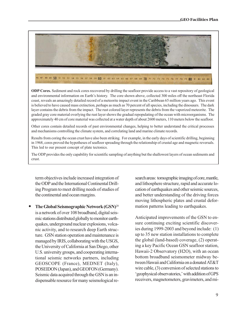

ODP Cores. Sediment and rock cores recovered by drilling the seafloor provide access to a vast repository of geological and environmental information on Earth's history. The core shown above, collected 300 miles off the northeast Florida coast, reveals an amazingly detailed record of a meteorite impact event in the Caribbean 65 million years ago. This event is believed to have caused mass extinction, perhaps as much as 70 percent of all species, including the dinosaurs. The dark layer contains the debris from the impact. The rust colored layer represents the debris from the vaporized meteorite. The graded gray core material overlying the rust layer shows the gradual repopulating of the ocean with microorganisms. The approximately 40 cm of core material was collected at a water depth of about 2600 meters, 110 meters below the seafloor.

Other cores contain detailed records of past environmental changes, helping to better understand the critical processes and mechanisms controlling the climate system, and correlating land and marine climate records.

Results from coring the ocean crust have also been striking. For example, in the early days of scientific drilling, beginning in 1968, cores proved the hypotheses of seafloor spreading through the relationship of crustal age and magnetic reversals. This led to our present concept of plate tectonics.

The ODP provides the only capability for scientific sampling of anything but the shallowest layers of ocean sediments and crust.

term objectives include increased integration of the ODP and the International Continental Drilling Program to meet drilling needs of studies of the continental and ocean margins.

The Global Seismographic Network  $(GSN)^{20}$ is a network of over 108 broadband, digital seismic stations distributed globally to monitor earthquakes, underground nuclear explosions, volcanic activity, and to research deep Earth structure. GSN station operation and maintenance is managed by IRIS, collaborating with the USGS, the University of California at San Diego, other U.S. university groups, and cooperating international seismic networks partners, including GEOSCOPE (France), MEDNET (Italy), POSEIDON (Japan), and GEOFON (Germany). Seismic data acquired through the GSN is an indispensable resource for many seismological re-

search areas: tomographic imaging of core, mantle, and lithosphere structure, rapid and accurate location of earthquakes and other seismic sources, and better understanding of the driving forces moving lithospheric plates and crustal deformation patterns leading to earthquakes.

Anticipated improvements of the GSN to ensure continuing exciting scientific discoveries during 1999-2003 and beyond include: (1) up to 35 new station installations to complete the global (land-based) coverage, (2) operating a key Pacific Ocean GSN seafloor station, Hawaii-2 Observatory (H2O), with an ocean bottom broadband seismometer midway between Hawaii and California on a donated AT&T wire cable, (3) conversion of selected stations to 'geophysical observatories,' with addition of GPS receivers, magnetometers, gravimeters, and mi-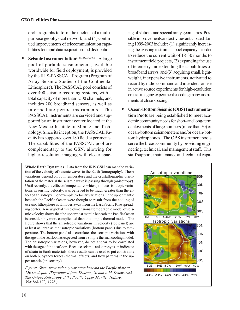crobarographs to form the nucleus of a multipurpose geophysical network, and (4) continued improvements of telecommunication capabilities for rapid data acquisition and distribution.

Seismic Instrumentation<sup>3, 20, 28, 29, 30, 31</sup> A large pool of portable seismometers, available worldwide for field deployment, is provided by the IRIS-PASSCAL Program (Program of Array Seismic Studies of the Continental Lithosphere). The PASSCAL pool consists of over 400 seismic recording systems, with a total capacity of more than 1500 channels, and includes 200 broadband sensors, as well as intermediate period instruments. The PASSCAL instruments are serviced and supported by an instrument center located at the New Mexico Institute of Mining and Technology. Since its inception, the PASSCAL Facility has supported over 180 field experiments. The capabilities of the PASSCAL pool are complementary to the GSN, allowing for higher-resolution imaging with closer spac-

Whole Earth Dynamics. Data from the IRIS GSN can map the variation of the velocity of seismic waves in the Earth (tomography). These variations depend on both temperature and the crystallographic orientation of the material the seismic wave is passing through (anisotropy). Until recently, the effect of temperature, which produces isotropic variations in seismic velocity, was believed to be much greater than the effect of anisotropy. For example, velocity variations in the upper mantle beneath the Pacific Ocean were thought to result from the cooling of oceanic lithosphere as it moves away from the East Pacific Rise spreading center. A new global three-dimensional tomographic model of seismic velocity shows that the uppermost mantle beneath the Pacific Ocean is considerably more complicated than this simple thermal model. The figure shows that the anisotropic variations in velocity (top panel) are at least as large as the isotropic variations (bottom panel) due to temperature. The bottom panel also correlates the isotropic variations with the age of the seafloor, as expected from a simple thermal cooling model. The anisotropic variations, however, do not appear to be correlated with the age of the seafloor. Because seismic anisotropy is an indicator of strain in Earth materials, these results can be used to put constraints on both buoyancy forces (thermal effects) and flow patterns in the upper mantle (anisotropy).

Figure: Shear wave velocity variation beneath the Pacific plate at 150 km depth. (Reproduced from Ekstrom, G. and A.M. Dziewonski, The Unique Anisotropy of the Pacific Upper Mantle. Nature, 394:168-172, 1998.)

ing of stations and special array geometries. Possible improvements and activities anticipated during 1999-2003 include: (1) significantly increasing the existing instrument pool capacity in order to reduce the current wait of 18-30 months to instrument field projects, (2) expanding the use of telemetry and extending the capabilities of broadband arrays, and (3) acquiring small, lightweight, inexpensive instruments, activated to record by radio command and intended for use in active source experiments for high-resolution crustal imaging experiments needing many instruments at close spacing.

• Ocean-Bottom Seismic (OBS) Instrumentation Pools are being established to meet academic community needs for short- and long-term deployments of large numbers (more than 50) of ocean-bottom seismometers and/or ocean-bottom hydrophones. The OBS instrument pools serve the broad community by providing engineering, technical, and management staff. This staff supports maintenance and technical capa-

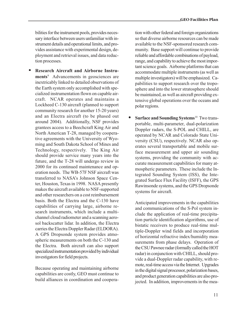bilities for the instrument pools, provides necessary interface between users unfamiliar with instrument details and operational limits, and provides assistance with experimental design, deployment and retrieval issues, and data reduction processes.

• Research Aircraft and Airborne Instruments<sup>9</sup> Advancements in geosciences are inextricably linked to detailed observations of the Earth system only accomplished with specialized instrumentation flown on capable aircraft. NCAR operates and maintains a Lockheed C-130 aircraft (planned to support community research for another 15-20 years) and an Electra aircraft (to be phased out around 2004). Additionally, NSF provides grantees access to a Beechcraft King Air and North American T-28, managed by cooperative agreements with the University of Wyoming and South Dakota School of Mines and Technology, respectively. The King Air should provide service many years into the future, and the T-28 will undergo review in 2000 for its continued maintenance and operation needs. The WB-57F NSF aircraft was transferred to NASAs Johnson Space Center, Houston, Texas in 1998. NASA presently makes the aircraft available to NSF-supported and other researchers on a cost reimbursement basis. Both the Electra and the C-130 have capabilities of carrying large, airborne research instruments, which include a multichannel cloud radiometer and a scanning aerosol backscatter lidar. In addition, the Electra carries the Electra Doppler Radar (ELDORA). A GPS Dropsonde system provides atmospheric measurements on both the C-130 and the Electra. Both aircraft can also support specialized instrumentation provided by individual investigators for field projects.

Because operating and maintaining airborne capabilities are costly, GEO must continue to build alliances in coordination and cooperation with other federal and foreign organizations so that diverse airborne resources can be made available to the NSF-sponsored research community. Base support will continue to provide reliable and affordable combinations of payload, range, and capability to achieve the most important science goals. Airborne platforms that can accommodate multiple instruments (as well as multiple investigators) will be emphasized. Capabilities to support research over the troposphere and into the lower stratosphere should be maintained, as well as aircraft providing extensive global operations over the oceans and polar regions.

Surface and Sounding Systems<sup>10</sup> Two transportable, multi-parameter, dual-polarization Doppler radars, the S-POL and CHILL, are operated by NCAR and Colorado State University (CSU), respectively. NCAR also operates several transportable and mobile surface measurement and upper air sounding systems, providing the community with accurate measurement capabilities for many atmospheric parameters. These include the Integrated Sounding System (ISS), the Integrated Surface Flux Facility (ISFF), the GPS Rawinsonde systems, and the GPS Dropsonde systems for aircraft.

Anticipated improvements in the capabilities and communications of the S-Pol system include the application of real-time precipitation particle identification algorithms, use of bistatic receivers to produce real-time multiple-Doppler wind fields and incorporation of horizontal refractive index/humidity measurements from phase delays. Operation of the CSU Pawnee radar (formally called the HOT radar) in conjunction with CHILL, should provide a dual-Doppler radar capability, with remote, real-time access via the Internet. Upgrades in the digital signal processor, polarization bases, and product generation capabilities are also projected. In addition, improvements in the mea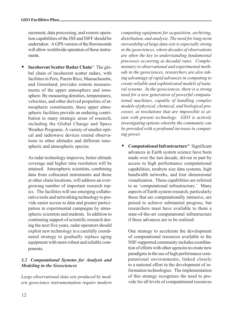surement, data processing, and remote operation capabilities of the ISS and ISFF should be undertaken. A GPS version of the Rawinsonde will allow worldwide operation of these instruments.

Incoherent Scatter Radar Chain<sup>11</sup> The global chain of incoherent scatter radars, with facilities in Peru, Puerto Rico, Massachusetts, and Greenland, provides remote measurements of the upper atmosphere and ionosphere. By measuring densities, temperatures, velocities, and other derived properties of atmospheric constituents, these upper atmospheric facilities provide an enduring contribution to many strategic areas of research, including the Global Change and Space Weather Programs. A variety of smaller optical and radiowave devices extend observations to other altitudes and different ionospheric and atmospheric species.

As radar technology improves, better altitude coverage and higher time resolution will be attained. Atmospheric scientists, combining data from collocated instruments and those at other chain locations, will address an evergrowing number of important research topics. The facilities will use emerging collaborative tools and networking technology to provide easier access to data and greater participation in experimental campaigns by atmospheric scientists and students. In addition to continuing support of scientific research during the next five years, radar operators should exploit new technology in a carefully coordinated strategy to gradually replace aging equipment with more robust and reliable components.

#### 3.2 Computational Systems for Analysis and Modeling in the Geosciences

Large observational data sets produced by modern geoscience instrumentation require modern

computing equipment for acquisition, archiving, distribution, and analysis. The need for long-term stewardship of large data sets is especially strong in the geosciences, where decades of observations are often the key to understanding fundamental processes occurring at decadal rates. Complementary to observational and experimental methods in the geosciences, researchers are also taking advantage of rapid advances in computing to create reliable and sophisticated models of natural systems. In the geosciences, there is a strong need for a new generation of powerful computational machines, capable of handling complex models of physical, chemical, and biological processes, at resolutions that are impossible to attain with present technology. GEO is actively investigating options whereby the community can be provided with a profound increase in computing power.

• Computational Infrastructure<sup>26</sup> Significant advances in Earth system science have been made over the last decade, driven in part by access to high performance computational capabilities, terabyte size data systems, high bandwidth networks, and four dimensional visualization. These capabilities are referred to as 'computational infrastructure.' Many aspects of Earth system research, particularly those that are computationally intensive, are poised to achieve substantial progress, but researchers must have available to them a state-of-the-art computational infrastructure if these advances are to be realized.

One strategy to accelerate the development of computational resources available to the NSF-supported community includes coordination of efforts with other agencies to create new paradigms in the use of high performance computational environments, linked closely to a national effort in the development of information technologies. The implementation of this strategy recognizes the need to provide for all levels of computational resources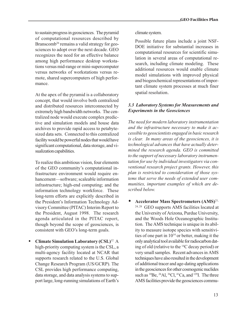to sustain progress in geosciences. The pyramid of computational resources described by Branscomb<sup>26</sup> remains a valid strategy for geosciences to adopt over the next decade. GEO recognizes the need for an effective balance among high performance desktop workstations versus mid-range or mini-supercomputer versus networks of workstations versus remote, shared supercomputers of high performance.

At the apex of the pyramid is a collaboratory concept, that would involve both centralized and distributed resources interconnected by extremely high bandwidth networks. The centralized node would execute complex predictive and simulation models and house data archives to provide rapid access to petabytesized data sets. Connected to this centralized facility would be powerful nodes that would have significant computational, data storage, and visualization capabilities.

To realize this ambitious vision, four elements of the GEO community's computational infrastructure environment would require enhancement—software; scaleable information infrastructure; high-end computing; and the information technology workforce. These long-term efforts are explicitly described in the President's Information Technology Advisory Committee (PITAC) Interim Report to the President, August 1998. The research agenda articulated in the PITAC report, though beyond the scope of geosciences, is consistent with GEO's long-term goals.

Climate Simulation Laboratory  $(CSL)^{12}$  A high-priority computing system is the CSL, a multi-agency facility located at NCAR that supports research related to the U.S. Global Change Research Program (US/GCRP). The CSL provides high performance computing, data storage, and data analysis systems to support large, long-running simulations of Earth's climate system.

Possible future plans include a joint NSF-DOE initiative for substantial increases in computational resources for scientific simulation in several areas of computational research, including climate modeling. These additional resources would enable climate model simulations with improved physical and biogeochemical representations of important climate system processes at much finer spatial resolution.

#### 3.3 Laboratory Systems for Measurements and Experiments in the Geosciences

The need for modern laboratory instrumentation and the infrastructure necessary to make it accessible to geoscientists engaged in basic research is clear. In many areas of the geosciences, it is technological advances that have actually determined the research agenda. GEO is committed to the support of necessary laboratory instrumentation for use by individual investigators via conventional research project grants. However, this plan is restricted to consideration of those systems that serve the needs of extended user communities, important examples of which are described below.

Accelerator Mass Spectrometers (AMS)<sup>21,</sup> 24, 28 GEO supports AMS facilities located at the University of Arizona, Purdue University, and the Woods Hole Oceanographic Institution. The AMS technique is unique in its ability to measure isotope species with sensitivities of one part in 1014 or better, making it the only analytical tool available for radiocarbon dating of old (relative to the 14C decay period) or very small samples. Recent advances in AMS techniques have also resulted in the development of additional tracer and age-dating applications in the geosciences for other cosmogenic nuclides such as  ${}^{10}$ Be,  ${}^{26}$ Al,  ${}^{36}$ Cl,  ${}^{41}$ Ca, and  ${}^{129}$ I. The three AMS facilities provide the geosciences commu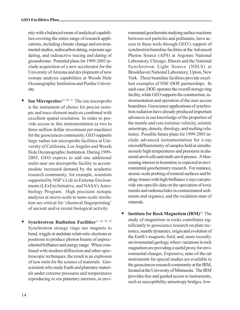nity with a balanced menu of analytical capabilities covering the entire range of research applications, including climate change and environmental studies, radiocarbon dating, exposure age dating, and radioactive tracing and dating of groundwater. Potential plans for 1999-2003 include acquisition of a new accelerator for the University of Arizona and development of new isotope analysis capabilities at Woods Hole Oceanographic Institution and Purdue University.

- Ion Microprobes<sup>22, 28, 32</sup> The ion microprobe is the instrument of choice for precise isotopic and trace element analysis combined with excellent spatial resolution. In order to provide access to this instrumentation (a two to three million dollar investment per machine) for the geosciences community, GEO supports large radius ion microprobe facilities at University of California, Los Angeles and Woods Hole Oceanographic Institution. During 1999- 2003, GEO expects to add one additional multi-user ion microprobe facility to accommodate increased demand by the academic research community; for example, scientists supported by NSF's Life in Extreme Environments (LExEn) Initiative, and NASA's Astrobiology Program. High precision isotopic analyses at micro-scale to nano-scale resolution are critical for 'chemical fingerprinting' of ancient and/or recent biological activity.
- Synchrotron Radiation Facilities<sup>23, 24, 28, 32</sup> Synchrotron storage rings use magnets to bend, wiggle or undulate relativistic electrons or positrons to produce photon beams of unprecedented brilliance and energy range. When combined with modern diffraction and other spectroscopic techniques, the result is an explosion of new tools for the science of materials. Geoscientists who study Earth and planetary materials under extreme pressures and temperatures reproducing in situ planetary interiors, or envi-

ronmental geochemists studying surface reactions between soil particles and pollutants, have access to these tools through GEO's support of synchrotron beamline facilities at the Advanced Photon Source (APS) at Argonne National Laboratory, Chicago, Illinois and the National Synchrotron Light Source (NSLS) at Brookhaven National Laboratory, Upton, New York. These beamline facilities provide excellent examples of NSF-DOE partnerships. In each case, DOE operates the overall storage ring facility, while GEO supports the construction, instrumentation and operation of the user-access beamlines. Geoscience applications of synchrotron radiation have already produced important advances in our knowledge of the properties of the mantle and core (seismic velocity, seismic anisotropy, density, rheology, and melting relations). Possible future plans for 1999-2003 include advanced instrumentation for x-ray microdiffractometry of samples held at simultaneously high temperatures and pressures in diamond anvil cells and multi-anvil presses. A blossoming interest in beamtime is expected in environmental geochemistry research. For instance, atomic-scale probing of mineral surfaces and biology tissues with high-brilliance x-rays can provide site-specific data on the speciation of toxic metals and radionuclides in contaminated sediments and organics, and the oxidation state of minerals.

• Institute for Rock Magnetism  $\text{(IRM)}^{24}$  The study of magnetism in rocks contributes significantly to geoscience research on plate tectonics, mantle dynamics, origin and evolution of the Earth's magnetic field, and, more recently, environmental geology, where variations in rock magnetism are providing a useful proxy for environmental changes. Expensive, state-of-the-art instruments for special studies are available to the geosciences research community at the IRM, located at the University of Minnesota. The IRM provides free and guided access to instruments, such as susceptibility anisotropy bridges, low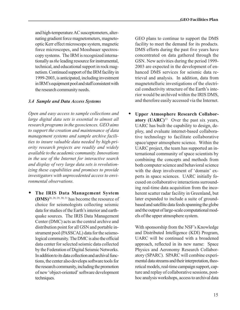and high-temperature AC susceptometers, alternating gradient force magnetometers, magnetooptic Kerr effect microscope system, magnetic force microscopes, and Mossbauer spectroscopy systems. The IRM is recognized internationally as the leading resource for instrumental, technical, and educational support in rock magnetism. Continued support of the IRM facility in 1999-2003, is anticipated, including investment in IRM's equipment pool and staff consistent with the research community needs.

#### 3.4 Sample and Data Access Systems

Open and easy access to sample collections and large digital data sets is essential to almost all research programs in the geosciences. GEO aims to support the creation and maintenance of data management systems and sample archive facilities to insure valuable data needed by high-priority research projects are readily and widely available to the academic community. Innovations in the use of the Internet for interactive search and display of very large data sets is revolutionizing these capabilities and promises to provide investigators with unprecedented access to environmental observations.

The IRIS Data Management System  $(DMS)^{20, 28, 29, 30, 31}$  has become the resource of choice for seismologists collecting seismic data for studies of the Earth's interior and earthquake sources. The IRIS Data Management Center (DMC) acts as the central archive and distribution point for all GSN and portable instrument pool (PASSCAL) data for the seismological community. The DMC is also the official data center for selected seismic data collected by the Federation of Digital Seismic Networks. In addition to its data collection and archival functions, the center also develops software tools for the research community, including the promotion of new 'object-oriented' software development techniques.

GEO plans to continue to support the DMS facility to meet the demand for its products. DMS efforts during the past five years have concentrated on data gathered through the GSN. New activities during the period 1999- 2003 are expected in the development of enhanced DMS services for seismic data retrieval and analysis. In addition, data from magnetotelluric investigations of the electrical conductivity structure of the Earth's interior would be archived within the IRIS DMS, and therefore easily accessed via the Internet.

• Upper Atmosphere Research Collaboratory  $(UARC)^{13}$  Over the past six years, UARC has built the capability to design, deploy, and evaluate internet-based collaborative technology to facilitate collaborative space/upper atmosphere science. Within the UARC project, the team has supported an international community of space scientists by combining the concepts and methods from both computer science and behavioral science with the deep involvement of 'domain' experts in space sciences. UARC initially focused on collaborative interactions surrounding real-time data acquisition from the incoherent scatter radar facility in Greenland, but later expanded to include a suite of groundbased and satellite data feeds spanning the globe and the output of large-scale computational models of the upper atmosphere system.

With sponsorship from the NSF's Knowledge and Distributed Intelligence (KDI) Program, UARC will be continued with a broadened approach, reflected in its new name: Space Physics and Aeronomy Research Collaboratory (SPARC). SPARC will combine experimental data streams and their interpretation, theoretical models, real-time campaign support, capture and replay of collaborative sessions, posthoc analysis workshops, access to archival data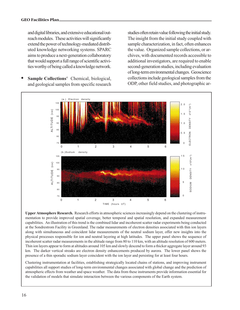and digital libraries, and extensive educational/outreach modules. These activities will significantly extend the power of technology-mediated distributed knowledge networking systems. SPARC aims to produce a next-generation collaboratory that would support a full range of scientific activities worthy of being called a knowledge network.

• Sample Collections<sup>4</sup> Chemical, biological, and geological samples from specific research

studies often retain value following the initial study. The insight from the initial study coupled with sample characterization, in fact, often enhances the value. Organized sample collections, or archives, with documented records accessible to additional investigators, are required to enable second-generation studies, including evaluation of long-term environmental changes. Geoscience collections include geological samples from the ODP, other field studies, and photographic ar-



Upper Atmosphere Research. Research efforts in atmospheric sciences increasingly depend on the clustering of instrumentation to provide improved spatial coverage, better temporal and spatial resolution, and expanded measurement capabilities. An illustration of this trend is the combined lidar and incoherent scatter radar experiments being conducted at the Sondrestrom Facility in Greenland. The radar measurements of electron densities associated with thin ion layers along with simultaneous and coincident lidar measurements of the neutral sodium layer, offer new insights into the physical processes responsible for ion and neutral layering at high latitudes. The upper panel shows the sequence of incoherent scatter radar measurements in the altitude range from 80 to 110 km, with an altitude resolution of 600 meters. Thin ion layers appear to form at altitudes around 105 km and slowly descend to form a thicker aggregate layer around 93 km. The darker vertical streaks are electron density enhancements produced by aurora. The lower panel shows the presence of a thin sporadic sodium layer coincident with the ion layer and persisting for at least four hours.

Clustering instrumentation at facilities, establishing strategically located chains of stations, and improving instrument capabilities all support studies of long-term environmental changes associated with global change and the prediction of atmospheric effects from weather and space weather. The data from these instruments provide information essential for the validation of models that simulate interaction between the various components of the Earth system.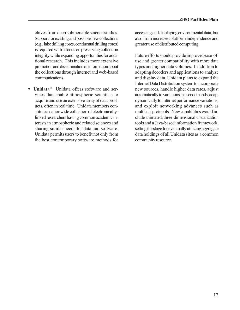chives from deep submersible science studies. Support for existing and possible new collections (e.g., lake drilling cores, continental drilling cores) is required with a focus on preserving collection integrity while expanding opportunities for additional research. This includes more extensive promotion and dissemination of information about the collections through internet and web-based communications.

Unidata<sup>14</sup> Unidata offers software and services that enable atmospheric scientists to acquire and use an extensive array of data products, often in real time. Unidata members constitute a nationwide collection of electronicallylinked researchers having common academic interests in atmospheric and related sciences and sharing similar needs for data and software. Unidata permits users to benefit not only from the best contemporary software methods for

accessing and displaying environmental data, but also from increased platform independence and greater use of distributed computing.

Future efforts should provide improved ease-ofuse and greater compatibility with more data types and higher data volumes. In addition to adapting decoders and applications to analyze and display data, Unidata plans to expand the Internet Data Distribution system to incorporate new sources, handle higher data rates, adjust automatically to variations in user demands, adapt dynamically to Internet performance variations, and exploit networking advances such as multicast protocols. New capabilities would include animated, three-dimensional visualization tools and a Java-based information framework, setting the stage for eventually utilizing aggregate data holdings of all Unidata sites as a common community resource.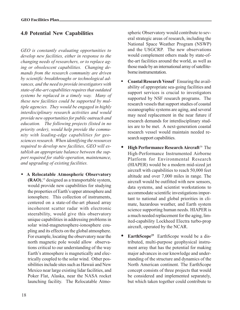## 4.0 Potential New Capabilities

GEO is constantly evaluating opportunities to develop new facilities, either in response to the changing needs of researchers, or to replace aging or obsolescent capabilities. Changing demands from the research community are driven by scientific breakthroughs or technological advances, and the need to provide investigators with state-of-the-art capabilities requires that outdated systems be replaced in a timely way. Many of these new facilities could be supported by multiple agencies. They would be engaged in highly interdisciplinary research activities and would provide new opportunities for public outreach and education. The following projects (listed in no priority order), would help provide the community with leading-edge capabilities for geosciences research. When identifying the resources required to develop new facilities, GEO will establish an appropriate balance between the support required for stable operation, maintenance, and upgrading of existing facilities.

• A Relocatable Atmospheric Observatory (RAO), 15 designed as a transportable system, would provide new capabilities for studying the properties of Earth's upper atmosphere and ionosphere. This collection of instruments, centered on a state-of-the-art phased array incoherent scatter radar with electronic steerability, would give this observatory unique capabilities in addressing problems in solar wind-magnetosphere-ionosphere coupling and its effects on the global atmosphere. For example, locating the observatory near the north magnetic pole would allow observations critical to our understanding of the way Earth's atmosphere is magnetically and electrically coupled to the solar wind. Other possibilities include sites such as Hawaii and New Mexico near large existing lidar facilities, and Poker Flat, Alaska, near the NASA rocket launching facility. The Relocatable Atmo-

spheric Observatory would contribute to several strategic areas of research, including the National Space Weather Program (NSWP) and the USGCRP. The new observations would complement others made by state-ofthe-art facilities around the world, as well as those made by an international array of satelliteborne instrumentation.

- **Coastal Research Vessel<sup>5</sup>** Ensuring the availability of appropriate sea-going facilities and support services is crucial to investigators supported by NSF research programs. The research vessels that support studies of coastal oceanographic systems are aging, and several may need replacement in the near future if research demands for interdisciplinary studies are to be met. A next-generation coastal research vessel would maintain needed research support capabilities.
- High Performance Research Aircraft<sup>16</sup> The High-Performance Instrumented Airborne Platform for Environmental Research (HIAPER) would be a modern mid-sized jet aircraft with capabilities to reach 50,000 feet altitude and over 7,000 miles in range. The aircraft would be outfitted with new sensors, data systems, and scientist workstations to accommodate scientific investigations important to national and global priorities in climate, hazardous weather, and Earth system science supporting human needs. HIAPER is a much needed replacement for the aging, limited-capability Lockheed Electra turbo-prop aircraft, operated by the NCAR.
- EarthScope<sup>25</sup> EarthScope would be a distributed, multi-purpose geophysical instrument array that has the potential for making major advances in our knowledge and understanding of the structure and dynamics of the North American continent. The EarthScope concept consists of three projects that would be considered and implemented separately, but which taken together could contribute to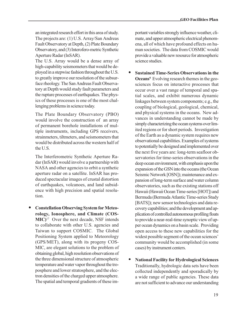an integrated research effort in this area of study. The projects are: (1) U.S. Array/San Andreas Fault Observatory at Depth, (2) Plate Boundary Observatory, and (3) Interofero-metric Synthetic Aperture Radar (InSAR).

The U.S. Array would be a dense array of high-capability seismometers that would be deployed in a stepwise fashion throughout the U.S. to greatly improve our resolution of the subsurface rheology. The San Andreas Fault Observatory at Depth would study fault parameters and the rupture processes of earthquakes. The physics of these processes is one of the most challenging problems in science today.

The Plate Boundary Observatory (PBO) would involve the construction of an array of permanent borehole installations of multiple instruments, including GPS receivers, strainmeters, tiltmeters, and seismometers that would be distributed across the western half of the U.S.

The Interferometric Synthetic Aperture Radar (InSAR) would involve a partnership with NASA and other agencies to orbit a synthetic aperture radar on a satellite. InSAR has produced spectacular images of crustal distortion of earthquakes, volcanoes, and land subsidence with high precision and spatial resolution.

• Constellation Observing System for Meteorology, Ionosphere, and Climate (COS- $MIC$ <sup>17</sup> Over the next decade, NSF intends to collaborate with other U.S. agencies and Taiwan to support COSMIC. The Global Positioning System applied to Meteorology (GPS/MET), along with its progeny COS-MIC, are elegant solutions to the problem of obtaining global, high resolution observations of the three dimensional structure of atmospheric temperature and water vapor throughout the troposphere and lower stratosphere, and the electron densities of the charged upper atmosphere. The spatial and temporal gradients of these important variables strongly influence weather, climate, and upper atmospheric electrical phenomena, all of which have profound effects on human societies. The data from COSMIC would provide a valuable new resource for atmospheric science studies.

- Sustained Time-Series Observations in the **Oceans**<sup>6</sup> Evolving research themes in the geosciences focus on interactive processes that occur over a vast range of temporal and spatial scales, and exhibit numerous dynamic linkages between system components; e.g., the coupling of biological, geological, chemical, and physical systems in the oceans. New advances in understanding cannot be made by simply characterizing the ocean systems over limited regions or for short periods. Investigation of the Earth as a dynamic system requires new observational capabilities. Examples of systems to potentially be designed and implemented over the next five years are: long-term seafloor observatories for time-series observations in the deep ocean environment, with emphasis upon the expansion of the GSN into the oceans (the Ocean Seismic Network [OSN]); maintenance and expansion of long-term surface and water column observatories, such as the existing stations off Hawaii (Hawaii Ocean Time-series [HOT]) and Bermuda (Bermuda Atlantic Time-series Study [BATS]); new sensor technologies and data recovery capabilities; and the development and application of controlled autonomous profiling floats to provide a near-real-time synoptic view of upper ocean dynamics on a basin scale. Providing open access to these new capabilities for the widest possible segment of the ocean sciences community would be accomplished (in some cases) by instrument centers.
- National Facility for Hydrological Sciences Traditionally, hydrologic data sets have been collected independently and sporadically by a wide range of public agencies. These data are not sufficient to advance our understanding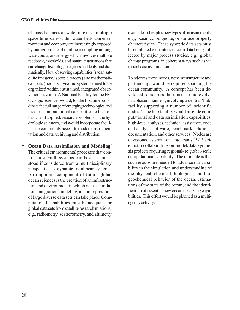of mass balances as water moves at multiple space-time scales within watersheds. Our environment and economy are increasingly exposed by our ignorance of nonlinear coupling among water, biota, and energy which involves multiple feedback, thresholds, and natural fluctuations that can change hydrologic regimes suddenly and dramatically. New observing capabilities (radar, satellite imagery, isotopic tracers) and mathematical tools (fractals, dynamic systems) need to be organized within a sustained, integrated observational system. A National Facility for the Hydrologic Sciences would, for the first time, coordinate the full range of emerging technologies and modern computational capabilities to bear on basic, and applied, research problems in the hydrologic sciences, and would incorporate facilities for community access to modern instrumentation and data archiving and distribution.

Ocean Data Assimilation and Modeling<sup>7</sup> The critical environmental processes that control most Earth systems can best be understood if considered from a multidisciplinary perspective as dynamic, nonlinear systems. An important component of future global ocean sciences is the creation of an infrastructure and environment in which data assimilation, integration, modeling, and interpretation of large diverse data sets can take place. Computational capabilities must be adequate for global data sets from satellite research missions, e.g., radiometry, scatterometry, and altimetry

available today; plus new types of measurements, e.g., ocean color, geode, or surface property characteristics. These synoptic data sets must be combined with interior ocean data being collected by major process studies, e.g., global change programs, in coherent ways such as via model data assimilation.

To address these needs, new infrastructure and partnerships would be required spanning the ocean community. A concept has been developed to address these needs (and evolve in a phased manner), involving a central 'hub' facility supporting a number of 'scientific nodes.' The hub facility would provide computational and data assimilation capabilities, high-level analyses, technical assistance, code and analysis software, benchmark solutions, documentation, and other services. Nodes are envisioned as small or large teams (5-15 scientists) collaborating on model/data synthesis projects requiring regional- to global-scale computational capability. The rationale is that such groups are needed to advance our capability in the simulation and understanding of the physical, chemical, biological, and biogeochemical behavior of the ocean, estimations of the state of the ocean, and the identification of essential new ocean observing capabilities. This effort would be planned as a multiagency activity.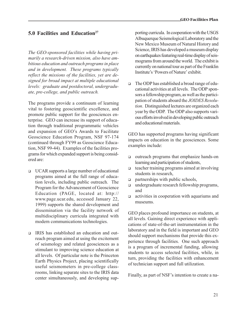## $5.0$  Facilities and Education<sup>27</sup>

The GEO-sponsored facilities while having primarily a research-driven mission, also have ambitious education and outreach programs in place and in development. These programs typically reflect the missions of the facilities, yet are designed for broad impact at multiple educational levels: graduate and postdoctoral, undergraduate, pre-college, and public outreach.

The programs provide a continuum of learning vital to fostering geoscientific excellence, and promote public support for the geosciences enterprise. GEO can increase its support of education through traditional programmatic vehicles and expansion of GEO's Awards to Facilitate Geoscience Education Program, NSF 97-174 (continued through FY99 as Geoscience Education, NSF 99-44). Examples of the facilities programs for which expanded support is being considered are:

- $\Box$  UCAR supports a large number of educational programs aimed at the full range of education levels, including public outreach. The Program for the Advancement of Geoscience Education (PAGE, located at: http:// www.page.ucar.edu, accessed January 22, 1999) supports the shared development and dissemination via the facility network of multidisciplinary curricula integrated with modern communications technologies.
- <sup>q</sup> IRIS has established an education and outreach program aimed at using the excitement of seismology and related geosciences as a stimulant to improving science education at all levels. Of particular note is the Princeton Earth Physics Project, placing scientifically useful seismometers in pre-college classrooms, linking separate sites to the IRIS data center simultaneously, and developing sup-

porting curricula. In cooperation with the USGS Albuquerque Seismological Laboratory and the New Mexico Museum of Natural History and Science, IRIS has developed a museum display on earthquakes featuring real-time display of seismograms from around the world. The exhibit is currently on national tour as part of the Franklin Institute's 'Powers of Nature' exhibit.

The ODP has established a broad range of educational activities at all levels. The ODP sponsors a fellowship program, as well as the participation of students aboard the JOIDES Resolution. Distinguished lectures are organized each year by the ODP. The ODP also supports various efforts involved in developing public outreach and educational materials.

GEO has supported programs having significant impacts on education in the geosciences. Some examples include:

- <sup>q</sup> outreach programs that emphasize hands-on learning and participation of students,
- $\Box$  teacher training programs aimed at involving students in research,
- $\Box$  partnerships with public schools,
- q undergraduate research fellowship programs, and
- $\Box$  activities in cooperation with aquariums and museums.

GEO places profound importance on students, at all levels. Gaining direct experience with applications of state-of-the-art instrumentation in the laboratory and in the field is important and GEO should support mechanisms that provide this experience through facilities. One such approach is a program of incremental funding, allowing students to access selected facilities, while, in turn, providing the facilities with enhancement of technician support and full utilization.

Finally, as part of NSF's intention to create a na-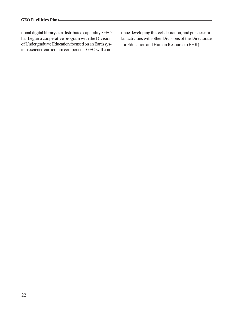tional digital library as a distributed capability, GEO has begun a cooperative program with the Division of Undergraduate Education focused on an Earth systems science curriculum component. GEO will continue developing this collaboration, and pursue similar activities with other Divisions of the Directorate for Education and Human Resources (EHR).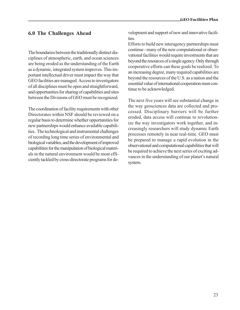## 6.0 The Challenges Ahead

The boundaries between the traditionally distinct disciplines of atmospheric, earth, and ocean sciences are being eroded as the understanding of the Earth as a dynamic, integrated system improves. This important intellectual driver must impact the way that GEO facilities are managed. Access to investigators of all disciplines must be open and straightforward, and opportunities for sharing of capabilities and sites between the Divisions of GEO must be recognized.

The coordination of facility requirements with other Directorates within NSF should be reviewed on a regular basis to determine whether opportunities for new partnerships would enhance available capabilities. The technological and instrumental challenges of recording long time series of environmental and biological variables, and the development of improved capabilities for the manipulation of biological materials in the natural environment would be most efficiently tackled by cross-directorate programs for development and support of new and innovative facili**ties** 

Efforts to build new interagency partnerships must continue - many of the new computational or observational facilities would require investments that are beyond the resources of a single agency. Only through cooperative efforts can these goals be realized. To an increasing degree, many required capabilities are beyond the resources of the U.S. as a nation and the essential value of international cooperation must continue to be acknowledged.

The next five years will see substantial change in the way geosciences data are collected and processed. Disciplinary barriers will be further eroded, data access will continue to revolutionize the way investigators work together, and increasingly researchers will study dynamic Earth processes remotely in near real-time. GEO must be prepared to manage a rapid evolution in the observational and computational capabilities that will be required to achieve the next series of exciting advances in the understanding of our planet's natural system.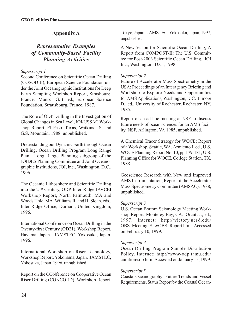## Appendix A

## Representative Examples of Community-Based Facility Planning Activities

#### Superscript 1

Second Conference on Scientific Ocean Drilling (COSOD II), European Science Foundation under the Joint Oceanographic Institutions for Deep Earth Sampling Workshop Report, Strasbourg, France. Munsch G.B., ed., European Science Foundation, Strausbourg, France, 1987.

The Role of ODP Drilling in the Investigation of Global Changes in Sea Level, JOI/USSAC Workshop Report, El Paso, Texas, Watkins J.S. and G.S. Mountain, 1988, unpublished.

Understanding our Dynamic Earth through Ocean Drilling, Ocean Drilling Program Long Range Plan. Long Range Planning subgroup of the JOIDES Planning Committee and Joint Oceanographic Institutions, JOI, Inc., Washington, D.C., 1996.

The Oceanic Lithosphere and Scientific Drilling into the 21st Century, ODP-Inter-Ridge-IAVCEI Workshop Report, North Falmouth, MA and Woods Hole, MA. Williams R. and H. Sloan, eds., Inter-Ridge Office, Durham, United Kingdom, 1996.

International Conference on Ocean Drilling in the Twenty-first Century (OD21), Workshop Report, Hayama, Japan. JAMSTEC, Yokosuka, Japan, 1996.

International Workshop on Riser Technology, Workshop Report, Yokohama, Japan. JAMSTEC, Yokosuka, Japan, 1996, unpublished.

Report on the CONference on Cooperative Ocean Riser Drilling (CONCORD), Workshop Report,

Tokyo, Japan. JAMSTEC, Yokosuka, Japan, 1997, unpublished.

A New Vision for Scientific Ocean Drilling, A Report from COMPOST-II: The U.S. Committee for Post-2003 Scientific Ocean Drilling. JOI Inc., Washington, D.C., 1998.

#### Superscript 2

Future of Accelerator Mass Spectrometry in the USA: Proceedings of an Interagency Briefing and Workshop to Explore Needs and Opportunities for AMS Applications, Washington, D.C. Elmore D., ed., University of Rochester, Rochester, NY, 1985.

Report of an ad hoc meeting at NSF to discuss future needs of ocean sciences for an AMS facility. NSF, Arlington, VA 1985, unpublished.

A Chemical Tracer Strategy for WOCE: Report of a Workshop, Seattle, WA. Armiento J, ed., U.S. WOCE Planning Report No. 10, pp.179-181, U.S. Planning Office for WOCE, College Station, TX, 1988.

Geoscience Research with New and Improved AMS Instrumentation, Report of the Accelerator Mass Spectrometry Committee (AMSAC). 1988, unpublished.

#### Superscript 3

U.S. Ocean Bottom Seismology Meeting Workshop Report, Monterey Bay, CA. Orcutt J., ed., 1997. Internet: http://victory.ucsd.edu/ OBS\_Meeting\_Site/OBS\_Report.html. Accessed on February 10, 1999.

#### Superscript 4

Ocean Drilling Program Sample Distribution Policy, Internet: http://www-odp.tamu.edu/ curation/sdp.htm. Accessed on January 15, 1999.

#### Superscript 5

Coastal Oceanography: Future Trends and Vessel Requirements, Status Report by the Coastal Ocean-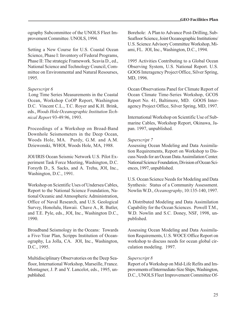ography Subcommittee of the UNOLS Fleet Improvement Committee. UNOLS, 1994.

Setting a New Course for U.S. Coastal Ocean Science, Phase I: Inventory of Federal Programs, Phase II: The strategic Framework. Scavia D., ed., National Science and Technology Council, Committee on Environmental and Natural Resourses, 1995.

#### Superscript 6

Long Time Series Measurements in the Coastal Ocean, Workshop CoOP Report, Washington D.C. Vincent C.L., T.C. Royer and K.H. Brink, eds., Woods Hole Oceanographic Institution Technical Report 93-49:96, 1993.

Proceedings of a Workshop on Broad-Band Downhole Seismometers in the Deep Ocean, Woods Hole, MA. Purdy, G.M. and A.M. Dziewonski, WHOI, Woods Hole, MA, 1988.

JOI/IRIS Ocean Seismic Network U.S. Pilot Experiment Task Force Meeting, Washington, D.C. Forsyth D., S. Sacks, and A. Trehu, JOI, Inc., Washington, D.C., 1991.

Workshop on Scientific Uses of Undersea Cables, Report to the National Science Foundation, National Oceanic and Atmospheric Administration, Office of Naval Research, and U.S. Geological Survey, Honolulu, Hawaii. Chave A., R. Butler, and T.E. Pyle, eds., JOI, Inc., Washington D.C., 1990.

Broadband Seismology in the Oceans: Towards a Five-Year Plan, Scripps Institution of Oceanography, La Jolla, CA. JOI, Inc., Washington, D.C., 1995.

Multidisciplinary Observatories on the Deep Seafloor, International Workshop, Marseille, France. Montagner, J. P. and Y. Lancelot, eds., 1995, unpublished.

Borehole: A Plan to Advance Post-Drilling, Sub-Seafloor Science, Joint Oceanographic Institutions/ U.S. Science Advisory Committee Workshop, Miami, FL. JOI, Inc., Washington, D.C., 1994.

1995 Activities Contributing to a Global Ocean Observing System, U.S. National Report. U.S. GOOS Interagency Project Office, Silver Spring, MD, 1996.

Ocean Observations Panel for Climate Report of Ocean Climate Time-Series Workshop, GCOS Report No. 41, Baltimore, MD. GOOS Interagency Project Office, Silver Spring, MD, 1997.

International Workshop on Scientific Use of Submarine Cables, Workshop Report, Okinawa, Japan. 1997, unpublished.

#### Superscript 7

Assessing Ocean Modeling and Data Assimilation Requirements, Report on Workshop to Discuss Needs for an Ocean Data Assimilation Center. National Science Foundation, Division of Ocean Sciences, 1997, unpublished.

U.S. Ocean Science Needs for Modeling and Data Synthesis: Status of a Community Assessment. Nowlin W.D., Oceanography, 10:135-140, 1997.

A Distributed Modeling and Data Assimilation Capability for the Ocean Sciences. Powell T.M., W.D. Nowlin and S.C. Doney, NSF, 1998, unpublished.

Assessing Ocean Modeling and Data Assimilation Requirements, U.S. WOCE Office Report on workshop to discuss needs for ocean global circulation modeling. 1997.

#### Superscript 8

Report of a Workshop on Mid-Life Refits and Improvements of Intermediate-Size Ships, Washington, D.C., UNOLS Fleet Improvement Committee Of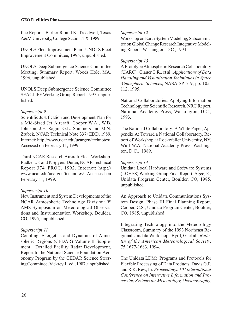fice Report. Barber R. and K. Treadwell, Texas A&M University, College Station, TX, 1989.

UNOLS Fleet Improvement Plan. UNOLS Fleet Improvement Committee, 1995, unpublished.

UNOLS Deep Submergence Science Committee Meeting, Summary Report, Woods Hole, MA. 1996, unpublished.

UNOLS Deep Submergence Science Committee SEACLIFF Working Group Report. 1997, unpublished.

#### Superscript 9

Scientific Justification and Development Plan for a Mid-Sized Jet Aircraft. Cooper W.A., W.B. Johnson, J.E. Ragni, G.L. Summers and M.N. Zrubek, NCAR Technical Note 337+EDD, 1989. Internet: http://www.ucar.edu/ucargen/technotes/. Accessed on February 11, 1999.

Third NCAR Research Aircraft Fleet Workshop. Radke L.F. and P. Spyers-Duran, NCAR Technical Report 374+PROC, 1992. Internet: http:// www.ucar.edu/ucargen/technotes/. Accessed on February 11, 1999.

#### Superscript 10

New Instrument and System Developments of the NCAR Atmospheric Technology Division: 9th AMS Symposium on Meteorological Observations and Instrumentation Workshop, Boulder, CO, 1995, unpublished.

#### Superscript 11

Coupling, Energetics and Dynamics of Atmospheric Regions (CEDAR) Volume II Supplement: Detailed Facility Radar Development, Report to the National Science Foundation Aeronomy Program by the CEDAR Science Steering Committee, Vickrey J., ed., 1987, unpublished.

#### Superscript 12

Workshop on Earth System Modeling, Subcommittee on Global Change Research Integrative Modeling Report. Washington, D.C., 1994.

#### Superscript 13

A Prototype Atmospheric Research Collaboratory (UARC). Clauer C.R., et al., Applications of Data Handling and Visualization Techniques in Space Atmospheric Sciences, NASA SP-519, pp. 105- 112, 1995.

National Collaboratories: Applying Information Technology for Scientific Research, NRC Report. National Academy Press, Washington, D.C., 1993.

The National Collaboratory: A White Paper, Appendix A: Toward a National Collaboratory, Report of Workshop at Rockefeller University, NY. Wulf W.A, National Academy Press, Washington, D.C., 1989.

#### Superscript 14

Unidata Local Hardware and Software Systems (LOHSS) Working Group Final Report. Agee, E., Unidata Program Center, Boulder, CO, 1985, unpublished.

An Approach to Unidata Communications System Design, Phase III Final Planning Report. Cooper, C.S., Unidata Program Center, Boulder, CO, 1985, unpublished.

Integrating Technology into the Meteorology Classroom, Summary of the 1993 Northeast Regional Unidata Workshop. Byrd, G. et al., Bulletin of the American Meteorological Society, 75:1677-1683, 1994.

The Unidata LDM: Programs and Protocols for Flexible Processing of Data Products. Davis G.P. and R.K. Rew, In: Proceedings,  $10<sup>th</sup> International$ Conference on Interactive Information and Processing Systems for Meteorology, Oceanography,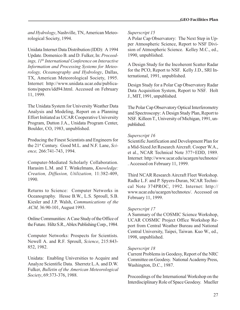and Hydrology, Nashville, TN, American Meteorological Society, 1994.

Unidata Internet Data Distribution (IDD): A 1994 Update. Domenico B. and D. Fulker, In: Proceedings,  $11<sup>th</sup> International Conference on Interactive$ Information and Processing Systems for Meteorology, Oceanography and Hydrology, Dallas, TX, American Meteorological Society, 1995. Internet: http://www.unidata.ucar.edu/publications/papers/idd94.html. Accessed on February 11, 1999.

The Unidata System for University Weather Data Analysis and Modeling, Report on a Planning Effort Initiated as UCAR Cooperative University Program, Dutton J.A., Unidata Program Center, Boulder, CO, 1983, unpublished.

Producing the Finest Scientists and Engineers for the 21<sup>st</sup> Century. Good M.L. and N.F. Lane, Science, 266:741-743, 1994.

Computer-Mediated Scholarly Collaboration. Harasim L.M. and T. Winkelmans, Knowledge: Creation, Diffusion, Utilization, 11:382-409, 1990.

Returns to Science: Computer Networks in Oceanography. Hesse B.W., L.S. Sproull, S.B. Kiesler and J.P. Walsh, Communications of the ACM, 36:90-101, August 1993.

Online Communities: A Case Study of the Office of the Future. Hiltz S.R., Ablex Publishing Corp., 1984.

Computer Networks: Prospects for Scientists. Newell A. and R.F. Sproull, Science, 215:843- 852, 1982.

Unidata: Enabling Universities to Acquire and Analyze Scientific Data. Sherretz L.A. and D.W. Fulker, Bulletin of the American Meteorological Society, 69:373-376, 1988.

#### Superscript 15

A Polar Cap Observatory: The Next Step in Upper Atmospheric Science, Report to NSF Division of Atmospheric Science. Kelley M.C., ed., 1990, unpublished.

A Design Study for the Incoherent Scatter Radar for the PCO, Report to NSF. Kelly J.D., SRI International, 1991, unpublished.

Design Study for a Polar Cap Observatory Radar Data Acquisition System, Report to NSF. Holt J., MIT, 1991, unpublished.

The Polar Cap Observatory Optical Interferometry and Spectroscopy: A Design Study Plan, Report to NSF. Killeen T., University of Michigan, 1991, unpublished.

#### Superscript 16

Scientific Justification and Development Plan for a Mid-Sized Jet Research Aircraft. Cooper W.A., et al., NCAR Technical Note 377+EDD, 1989. Internet: http://www.ucar.edu/ucargen/technotes/ . Accessed on February 11, 1999.

Third NCAR Research Aircraft Fleet Workshop. Radke L.F. and P. Spyers-Duran, NCAR Technical Note 374PROC, 1992. Internet: http:// www.ucar.edu/ucargen/technotes/. Accessed on February 11, 1999.

#### Superscript 17

A Summary of the COSMIC Science Workshop, UCAR COSMIC Project Office Workshop Report from Central Weather Bureau and National Central University, Taipei, Taiwan. Kuo W., ed., 1998, unpublished.

#### Superscript 18

Current Problems in Geodesy, Report of the NRC Committee on Geodesy. National Academy Press, Washington, D.C., 1987.

Proceedings of the International Workshop on the Interdisciplinary Role of Space Geodesy. Mueller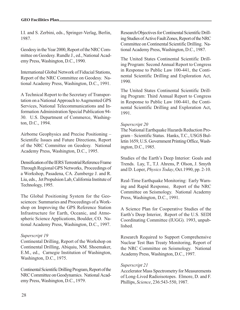I.I. and S. Zerbini, eds., Springer-Verlag, Berlin, 1987.

Geodesy in the Year 2000, Report of the NRC Committee on Geodesy. Rundle J., ed., National Academy Press, Washington, D.C., 1990.

International Global Network of Fiducial Stations, Report of the NRC Committee on Geodesy. National Academy Press, Washington, D.C., 1991.

A Technical Report to the Secretary of Transportation on a National Approach to Augmented GPS Services, National Telecommunications and Information Administration Special Publication 94- 30. U.S. Department of Commerce, Washington, D.C., 1994.

Airborne Geophysics and Precise Positioning Scientific Issues and Future Directions, Report of the NRC Committee on Geodesy. National Academy Press, Washington, D.C., 1995.

Densification of the IERS Terrestrial Reference Frame Through Regional GPS Networks, Proceedings of a Workshop, Pasadena, CA. Zumberge J. and R. Liu, eds., Jet Propulsion Lab, California Institute of Technology, 1995.

The Global Positioning System for the Geosciences: Summaries and Proceedings of a Workshop on Improving the GPS Reference Station Infrastructure for Earth, Oceanic, and Atmospheric Science Applications, Boulder, CO. National Academy Press, Washington, D.C., 1997.

#### Superscript 19

Continental Drilling, Report of the Workshop on Continental Drilling, Abiquiu, NM. Shoemaker, E.M., ed., Carnegie Institution of Washington, Washington, D.C., 1975.

Continental Scientific Drilling Program, Report of the NRC Committee on Geodynamics. National Academy Press, Washington, D.C., 1979.

Research Objectives for Continental Scientific Drilling Studies of Active Fault Zones, Report of the NRC Committee on Continental Scientific Drilling. National Academy Press, Washington, D.C., 1987.

The United States Continental Scientific Drilling Program: Second Annual Report to Congress in Response to Public Law 100-441, the Continental Scientific Drilling and Exploration Act, 1990.

The United States Continental Scientific Drilling Program: Third Annual Report to Congress in Response to Public Law 100-441, the Continental Scientific Drilling and Exploration Act, 1991.

#### Superscript 20

The National Earthquake Hazards Reduction Program - Scientific Status. Hanks, T.C., USGS Bulletin 1659, U.S. Government Printing Office, Washington, D.C., 1985.

Studies of the Earth's Deep Interior: Goals and Trends. Lay, T., T.J. Ahrens, P. Olson, J. Smyth and D. Loper, Physics Today, Oct.1990, pp. 2-10.

Real-Time Earthquake Monitoring: Early Warning and Rapid Response, Report of the NRC Committee on Seismology. National Academy Press, Washington, D.C., 1991.

A Science Plan for Cooperative Studies of the Earth's Deep Interior, Report of the U.S. SEDI Coordinating Committee (IUGG). 1993, unpublished.

Research Required to Support Comprehensive Nuclear Test Ban Treaty Monitoring, Report of the NRC Committee on Seismology. National Academy Press, Washington, D.C., 1997.

#### Superscript 21

Accelerator Mass Spectrometry for Measurements of Long-Lived Radioisotopes. Elmore, D. and F. Phillips, Science, 236:543-550, 1987.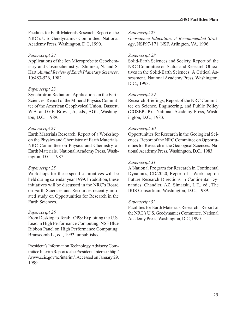Facilities for Earth Materials Research, Report of the NRC's U.S. Geodynamics Committee. National Academy Press, Washington, D.C, 1990.

#### Superscript 22

Applications of the Ion Microprobe to Geochemistry and Cosmochemistry. Shimizu, N. and S. Hart, Annual Review of Earth Planetary Sciences, 10:483-526, 1982.

#### Superscript 23

Synchrotron Radiation: Applications in the Earth Sciences, Report of the Mineral Physics Committee of the American Geophysical Union. Bassett, W.A. and G.E. Brown, Jr., eds., AGU, Washington, D.C., 1989.

#### Superscript 24

Earth Materials Research, Report of a Workshop on the Physics and Chemistry of Earth Materials, NRC Committee on Physics and Chemistry of Earth Materials. National Academy Press, Washington, D.C., 1987.

#### Superscript 25

Workshops for these specific initiatives will be held during calendar year 1999. In addition, these initiatives will be discussed in the NRC's Board on Earth Sciences and Resources recently initiated study on Opportunities for Research in the Earth Sciences.

#### Superscript 26

From Desktop to TeraFLOPS: Exploiting the U.S. Lead in High Performance Computing, NSF Blue Ribbon Panel on High Performance Computing. Branscomb L., ed., 1993, unpublished.

President's Information Technology Advisory Committee Interim Report to the President. Internet: http:/ /www.ccic.gov/ac/interim/. Accessed on January 29, 1999.

#### Superscript 27

Geoscience Education: A Recommended Strategy, NSF97-171. NSF, Arlington, VA, 1996.

#### Superscript 28

Solid-Earth Sciences and Society, Report of the NRC Committee on Status and Research Objectives in the Solid-Earth Sciences: A Critical Assessment. National Academy Press, Washington, D.C., 1993.

#### Superscript 29

Research Briefings, Report of the NRC Committee on Science, Engineering, and Public Policy (COSEPUP). National Academy Press, Washington, D.C., 1983.

#### Superscript 30

Opportunities for Research in the Geological Sciences, Report of the NRC Committee on Opportunities for Research in the Geological Sciences. National Academy Press, Washington, D.C., 1983.

#### Superscript 31

A National Program for Research in Continental Dynamics, CD/2020, Report of a Workshop on Future Research Directions in Continental Dynamics, Chandler, AZ. Simarski, L.T., ed., The IRIS Consortium, Washington, D.C., 1989.

#### Superscript 32

Facilities for Earth Materials Research: Report of the NRC's U.S. Geodynamics Committee. National Academy Press, Washington, D.C, 1990.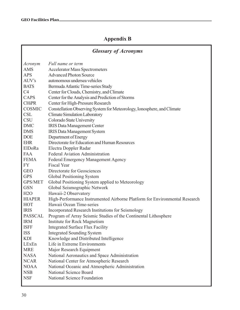## Appendix B

### Glossary of Acronyms Acronym Full name or term AMS Accelerator Mass Spectrometers APS Advanced Photon Source AUVs autonomous undersea vehicles BATS Bermuda Atlantic Time-series Study C4 Center for Clouds, Chemistry, and Climate CAPS Center for the Analysis and Prediction of Storms CHiPR Center for High-Pressure Research COSMIC Constellation Observing System for Meteorology, Ionosphere, and Climate CSL Climate Simulation Laboratory CSU Colorado State University DMC IRIS Data Management Center DMS IRIS Data Management System DOE Department of Energy EHR Directorate for Education and Human Resources ElDoRa Electra Doppler Radar FAA Federal Aviation Administration FEMA Federal Emergency Management Agency FY Fiscal Year GEO Directorate for Geosciences GPS Global Positioning System GPS/MET Global Positioning System applied to Meteorology GSN Global Seismographic Network H2O Hawaii-2 Observatory HIAPER High-Performance Instrumented Airborne Platform for Environmental Research HOT Hawaii Ocean Time-series IRIS Incorporated Research Institutions for Seismology PASSCAL Program of Array Seismic Studies of the Continental Lithosphere IRM Institute for Rock Magnetism ISFF Integrated Surface Flux Facility ISS Integrated Sounding System KDI Knowledge and Distributed Intelligence LExEn Life in Extreme Environments MRE Major Research Equipment NASA National Aeronautics and Space Administration NCAR National Center for Atmospheric Research NOAA National Oceanic and Atmospheric Administration NSB National Science Board NSF National Science Foundation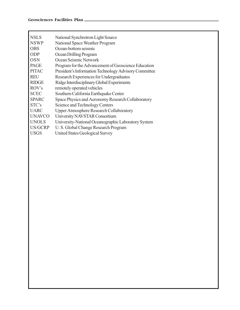| <b>NSLS</b>   | National Synchrotron Light Source                     |
|---------------|-------------------------------------------------------|
| <b>NSWP</b>   | National Space Weather Program                        |
| <b>OBS</b>    | Ocean-bottom seismic                                  |
| <b>ODP</b>    | Ocean Drilling Program                                |
| <b>OSN</b>    | Ocean Seismic Network                                 |
| <b>PAGE</b>   | Program for the Advancement of Geoscience Education   |
| <b>PITAC</b>  | President's Information Technology Advisory Committee |
| <b>REU</b>    | Research Experiences for Undergraduates               |
| <b>RIDGE</b>  | Ridge Interdisciplinary Global Experiments            |
| ROV's         | remotely operated vehicles                            |
| <b>SCEC</b>   | Southern California Earthquake Center                 |
| <b>SPARC</b>  | Space Physics and Aeronomy Research Collaboratory     |
| STC's         | Science and Technology Centers                        |
| <b>UARC</b>   | <b>Upper Atmosphere Research Collaboratory</b>        |
| <b>UNAVCO</b> | University NAVSTAR Consortium                         |
| <b>UNOLS</b>  | University-National Oceanographic Laboratory System   |
| US/GCRP       | U.S. Global Change Research Program                   |
| <b>USGS</b>   | United States Geological Survey                       |
|               |                                                       |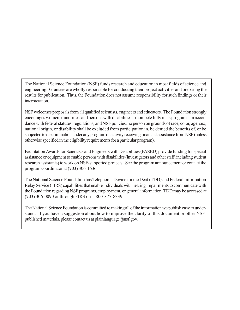The National Science Foundation (NSF) funds research and education in most fields of science and engineering. Grantees are wholly responsible for conducting their project activities and preparing the results for publication. Thus, the Foundation does not assume responsibility for such findings or their interpretation.

NSF welcomes proposals from all qualified scientists, engineers and educators. The Foundation strongly encourages women, minorities, and persons with disabilities to compete fully in its programs. In accordance with federal statutes, regulations, and NSF policies, no person on grounds of race, color, age, sex, national origin, or disability shall be excluded from participation in, be denied the benefits of, or be subjected to discrimination under any program or activity receiving financial assistance from NSF (unless otherwise specified in the eligibility requirements for a particular program).

Facilitation Awards for Scientists and Engineers with Disabilities (FASED) provide funding for special assistance or equipment to enable persons with disabilities (investigators and other staff, including student research assistants) to work on NSF-supported projects. See the program announcement or contact the program coordinator at (703) 306-1636.

The National Science Foundation has Telephonic Device for the Deaf (TDD) and Federal Information Relay Service (FIRS) capabilities that enable individuals with hearing impairments to communicate with the Foundation regarding NSF programs, employment, or general information. TDD may be accessed at (703) 306-0090 or through FIRS on 1-800-877-8339.

The National Science Foundation is committed to making all of the information we publish easy to understand. If you have a suggestion about how to improve the clarity of this document or other NSFpublished materials, please contact us at plainlanguage $@$ nsf.gov.